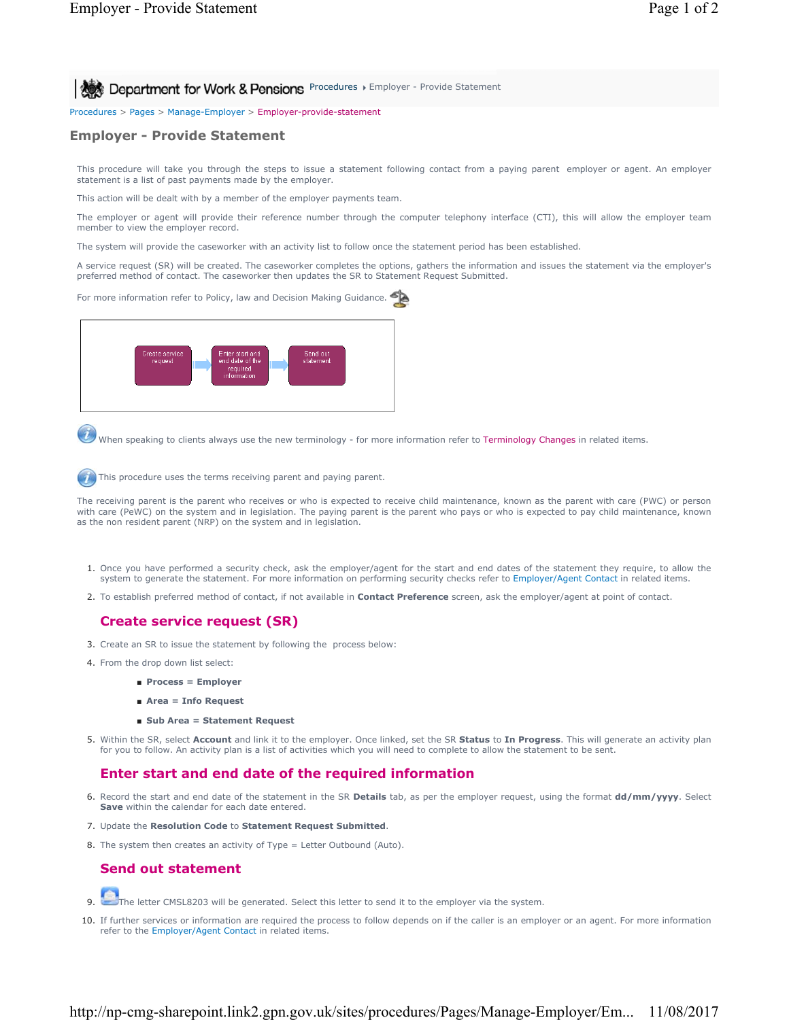**Procedures > Employer - Provide Statement** for Work & Pensions Procedures > Employer - Provide Statement

Procedures > Pages > Manage-Employer > Employer-provide-statement

## **Employer - Provide Statement**

This procedure will take you through the steps to issue a statement following contact from a paying parent employer or agent. An employer statement is a list of past payments made by the employer.

This action will be dealt with by a member of the employer payments team.

The employer or agent will provide their reference number through the computer telephony interface (CTI), this will allow the employer team member to view the employer record.

The system will provide the caseworker with an activity list to follow once the statement period has been established.

A service request (SR) will be created. The caseworker completes the options, gathers the information and issues the statement via the employer's preferred method of contact. The caseworker then updates the SR to Statement Request Submitted.

For more information refer to Policy, law and Decision Making Guidance.



When speaking to clients always use the new terminology - for more information refer to Terminology Changes in related items.

This procedure uses the terms receiving parent and paying parent.

The receiving parent is the parent who receives or who is expected to receive child maintenance, known as the parent with care (PWC) or person with care (PeWC) on the system and in legislation. The paying parent is the parent who pays or who is expected to pay child maintenance, known as the non resident parent (NRP) on the system and in legislation.

- 1. Once you have performed a security check, ask the employer/agent for the start and end dates of the statement they require, to allow the system to generate the statement. For more information on performing security checks refer to Employer/Agent Contact in related items.
- 2. To establish preferred method of contact, if not available in **Contact Preference** screen, ask the employer/agent at point of contact.

## **Create service request (SR)**

- 3. Create an SR to issue the statement by following the process below:
- 4. From the drop down list select:
	- **Process = Employer**
	- **Area = Info Request**
	- **Sub Area = Statement Request**
- Within the SR, select **Account** and link it to the employer. Once linked, set the SR **Status** to **In Progress**. This will generate an activity plan 5. for you to follow. An activity plan is a list of activities which you will need to complete to allow the statement to be sent.

## **Enter start and end date of the required information**

- 6. Record the start and end date of the statement in the SR **Details** tab, as per the employer request, using the format **dd/mm/yyyy**. Select **Save** within the calendar for each date entered.
- 7. Update the **Resolution Code** to **Statement Request Submitted**.
- 8. The system then creates an activity of Type = Letter Outbound (Auto).

## **Send out statement**

- 9. The letter CMSL8203 will be generated. Select this letter to send it to the employer via the system.
- 10. If further services or information are required the process to follow depends on if the caller is an employer or an agent. For more information refer to the Employer/Agent Contact in related items.